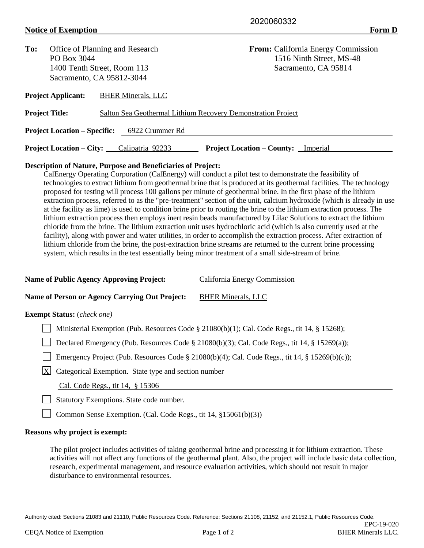## **Notice of Exemption Form D**

| To:                                                                                   | Office of Planning and Research |  |                           | <b>From:</b> California Energy Commission |                                            |  |  |  |
|---------------------------------------------------------------------------------------|---------------------------------|--|---------------------------|-------------------------------------------|--------------------------------------------|--|--|--|
|                                                                                       | PO Box 3044                     |  |                           | 1516 Ninth Street, MS-48                  |                                            |  |  |  |
|                                                                                       | 1400 Tenth Street, Room 113     |  |                           | Sacramento, CA 95814                      |                                            |  |  |  |
| Sacramento, CA 95812-3044                                                             |                                 |  |                           |                                           |                                            |  |  |  |
|                                                                                       | <b>Project Applicant:</b>       |  | <b>BHER Minerals, LLC</b> |                                           |                                            |  |  |  |
| <b>Project Title:</b><br>Salton Sea Geothermal Lithium Recovery Demonstration Project |                                 |  |                           |                                           |                                            |  |  |  |
| <b>Project Location – Specific:</b><br>6922 Crummer Rd                                |                                 |  |                           |                                           |                                            |  |  |  |
|                                                                                       | <b>Project Location – City:</b> |  | Calipatria 92233          |                                           | <b>Project Location – County:</b> Imperial |  |  |  |

## **Description of Nature, Purpose and Beneficiaries of Project:**

CalEnergy Operating Corporation (CalEnergy) will conduct a pilot test to demonstrate the feasibility of technologies to extract lithium from geothermal brine that is produced at its geothermal facilities. The technology proposed for testing will process 100 gallons per minute of geothermal brine. In the first phase of the lithium extraction process, referred to as the "pre-treatment" section of the unit, calcium hydroxide (which is already in use at the facility as lime) is used to condition brine prior to routing the brine to the lithium extraction process. The lithium extraction process then employs inert resin beads manufactured by Lilac Solutions to extract the lithium chloride from the brine. The lithium extraction unit uses hydrochloric acid (which is also currently used at the facility), along with power and water utilities, in order to accomplish the extraction process. After extraction of lithium chloride from the brine, the post-extraction brine streams are returned to the current brine processing system, which results in the test essentially being minor treatment of a small side-stream of brine.

| <b>Name of Public Agency Approving Project:</b>                      | California Energy Commission                                                                   |  |  |  |  |
|----------------------------------------------------------------------|------------------------------------------------------------------------------------------------|--|--|--|--|
| <b>Name of Person or Agency Carrying Out Project:</b>                | <b>BHER Minerals, LLC</b>                                                                      |  |  |  |  |
| <b>Exempt Status:</b> (check one)                                    |                                                                                                |  |  |  |  |
|                                                                      | Ministerial Exemption (Pub. Resources Code § 21080(b)(1); Cal. Code Regs., tit 14, § 15268);   |  |  |  |  |
|                                                                      | Declared Emergency (Pub. Resources Code § 21080(b)(3); Cal. Code Regs., tit 14, § 15269(a));   |  |  |  |  |
|                                                                      | Emergency Project (Pub. Resources Code § 21080(b)(4); Cal. Code Regs., tit 14, § 15269(b)(c)); |  |  |  |  |
| $\mathbf{X}$<br>Categorical Exemption. State type and section number |                                                                                                |  |  |  |  |
| Cal. Code Regs., tit 14, § 15306                                     |                                                                                                |  |  |  |  |
| Statutory Exemptions. State code number.                             |                                                                                                |  |  |  |  |

Common Sense Exemption. (Cal. Code Regs., tit 14, §15061(b)(3))

## **Reasons why project is exempt:**

The pilot project includes activities of taking geothermal brine and processing it for lithium extraction. These activities will not affect any functions of the geothermal plant. Also, the project will include basic data collection, research, experimental management, and resource evaluation activities, which should not result in major disturbance to environmental resources.